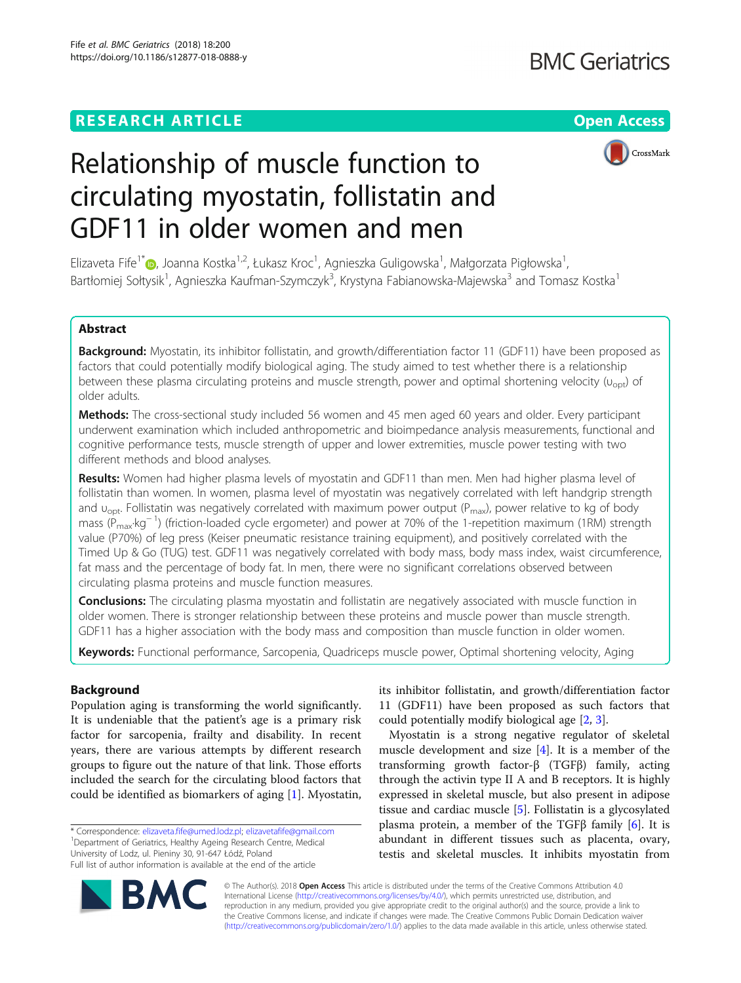# **RESEARCH ARTICLE Example 2018 12:30 THE Open Access**



# Relationship of muscle function to circulating myostatin, follistatin and GDF11 in older women and men

Elizaveta Fife<sup>1\*</sup>�[,](http://orcid.org/0000-0002-4316-4801) Joanna Kostka<sup>1,2</sup>, Łukasz Kroc<sup>1</sup>, Agnieszka Guligowska<sup>1</sup>, Małgorzata Pigłowska<sup>1</sup> , Bartłomiej Sołtysik<sup>1</sup>, Agnieszka Kaufman-Szymczyk<sup>3</sup>, Krystyna Fabianowska-Majewska<sup>3</sup> and Tomasz Kostka<sup>1</sup>

# Abstract

Background: Myostatin, its inhibitor follistatin, and growth/differentiation factor 11 (GDF11) have been proposed as factors that could potentially modify biological aging. The study aimed to test whether there is a relationship between these plasma circulating proteins and muscle strength, power and optimal shortening velocity (υ<sub>opt</sub>) of older adults.

**Methods:** The cross-sectional study included 56 women and 45 men aged 60 years and older. Every participant underwent examination which included anthropometric and bioimpedance analysis measurements, functional and cognitive performance tests, muscle strength of upper and lower extremities, muscle power testing with two different methods and blood analyses.

Results: Women had higher plasma levels of myostatin and GDF11 than men. Men had higher plasma level of follistatin than women. In women, plasma level of myostatin was negatively correlated with left handgrip strength and  $u_{opt}$ . Follistatin was negatively correlated with maximum power output (P<sub>max</sub>), power relative to kg of body mass (P<sub>max</sub>⋅kg<sup>-1</sup>) (friction-loaded cycle ergometer) and power at 70% of the 1-repetition maximum (1RM) strength value (P70%) of leg press (Keiser pneumatic resistance training equipment), and positively correlated with the Timed Up & Go (TUG) test. GDF11 was negatively correlated with body mass, body mass index, waist circumference, fat mass and the percentage of body fat. In men, there were no significant correlations observed between circulating plasma proteins and muscle function measures.

**Conclusions:** The circulating plasma myostatin and follistatin are negatively associated with muscle function in older women. There is stronger relationship between these proteins and muscle power than muscle strength. GDF11 has a higher association with the body mass and composition than muscle function in older women.

Keywords: Functional performance, Sarcopenia, Quadriceps muscle power, Optimal shortening velocity, Aging

# Background

Population aging is transforming the world significantly. It is undeniable that the patient's age is a primary risk factor for sarcopenia, frailty and disability. In recent years, there are various attempts by different research groups to figure out the nature of that link. Those efforts included the search for the circulating blood factors that could be identified as biomarkers of aging [\[1](#page-8-0)]. Myostatin,

\* Correspondence: [elizaveta.fife@umed.lodz.pl](mailto:elizaveta.fife@umed.lodz.pl); [elizavetafife@gmail.com](mailto:elizavetafife@gmail.com) <sup>1</sup> Department of Geriatrics, Healthy Ageing Research Centre, Medical

University of Lodz, ul. Pieniny 30, 91-647 Łódź, Poland

its inhibitor follistatin, and growth/differentiation factor 11 (GDF11) have been proposed as such factors that could potentially modify biological age [\[2,](#page-8-0) [3\]](#page-8-0).

Myostatin is a strong negative regulator of skeletal muscle development and size [\[4](#page-8-0)]. It is a member of the transforming growth factor-β (TGFβ) family, acting through the activin type II A and B receptors. It is highly expressed in skeletal muscle, but also present in adipose tissue and cardiac muscle [[5\]](#page-8-0). Follistatin is a glycosylated plasma protein, a member of the TGFβ family  $[6]$  $[6]$ . It is abundant in different tissues such as placenta, ovary, testis and skeletal muscles. It inhibits myostatin from



© The Author(s). 2018 Open Access This article is distributed under the terms of the Creative Commons Attribution 4.0 International License [\(http://creativecommons.org/licenses/by/4.0/](http://creativecommons.org/licenses/by/4.0/)), which permits unrestricted use, distribution, and reproduction in any medium, provided you give appropriate credit to the original author(s) and the source, provide a link to the Creative Commons license, and indicate if changes were made. The Creative Commons Public Domain Dedication waiver [\(http://creativecommons.org/publicdomain/zero/1.0/](http://creativecommons.org/publicdomain/zero/1.0/)) applies to the data made available in this article, unless otherwise stated.

Full list of author information is available at the end of the article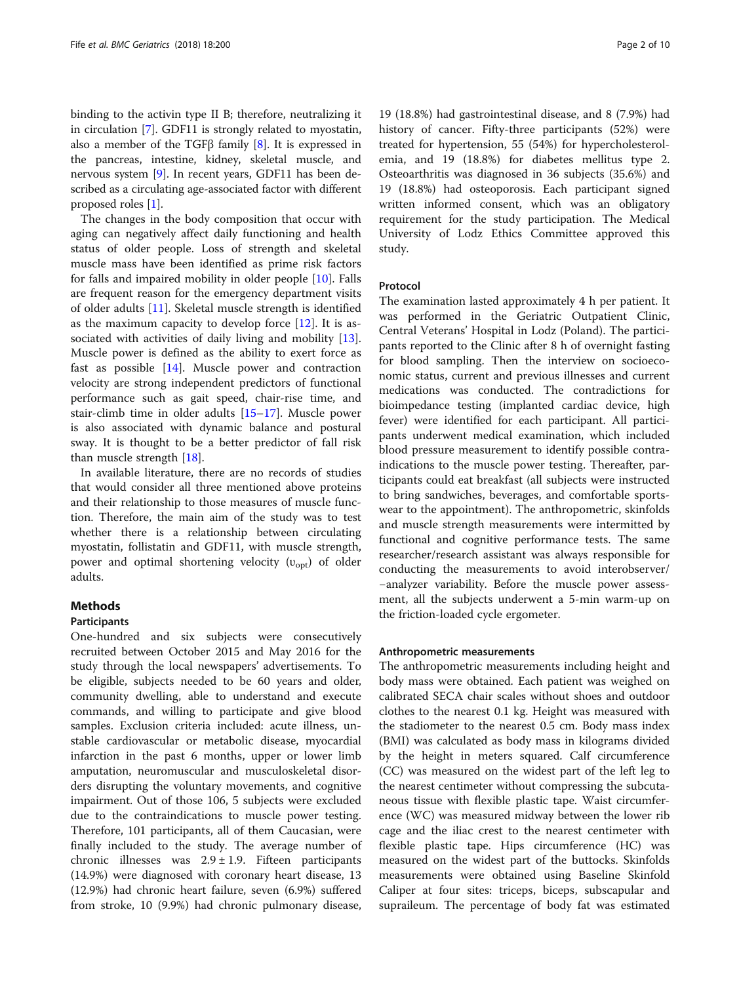binding to the activin type II B; therefore, neutralizing it in circulation [[7\]](#page-8-0). GDF11 is strongly related to myostatin, also a member of the TGF $\beta$  family  $\lceil 8 \rceil$ . It is expressed in the pancreas, intestine, kidney, skeletal muscle, and nervous system [[9\]](#page-8-0). In recent years, GDF11 has been described as a circulating age-associated factor with different proposed roles [\[1\]](#page-8-0).

The changes in the body composition that occur with aging can negatively affect daily functioning and health status of older people. Loss of strength and skeletal muscle mass have been identified as prime risk factors for falls and impaired mobility in older people [\[10\]](#page-8-0). Falls are frequent reason for the emergency department visits of older adults [\[11](#page-8-0)]. Skeletal muscle strength is identified as the maximum capacity to develop force [\[12](#page-8-0)]. It is associated with activities of daily living and mobility [\[13](#page-8-0)]. Muscle power is defined as the ability to exert force as fast as possible [[14\]](#page-8-0). Muscle power and contraction velocity are strong independent predictors of functional performance such as gait speed, chair-rise time, and stair-climb time in older adults [\[15](#page-8-0)–[17](#page-8-0)]. Muscle power is also associated with dynamic balance and postural sway. It is thought to be a better predictor of fall risk than muscle strength [\[18](#page-8-0)].

In available literature, there are no records of studies that would consider all three mentioned above proteins and their relationship to those measures of muscle function. Therefore, the main aim of the study was to test whether there is a relationship between circulating myostatin, follistatin and GDF11, with muscle strength, power and optimal shortening velocity  $(v_{opt})$  of older adults.

# Methods

# Participants

One-hundred and six subjects were consecutively recruited between October 2015 and May 2016 for the study through the local newspapers' advertisements. To be eligible, subjects needed to be 60 years and older, community dwelling, able to understand and execute commands, and willing to participate and give blood samples. Exclusion criteria included: acute illness, unstable cardiovascular or metabolic disease, myocardial infarction in the past 6 months, upper or lower limb amputation, neuromuscular and musculoskeletal disorders disrupting the voluntary movements, and cognitive impairment. Out of those 106, 5 subjects were excluded due to the contraindications to muscle power testing. Therefore, 101 participants, all of them Caucasian, were finally included to the study. The average number of chronic illnesses was  $2.9 \pm 1.9$ . Fifteen participants (14.9%) were diagnosed with coronary heart disease, 13 (12.9%) had chronic heart failure, seven (6.9%) suffered from stroke, 10 (9.9%) had chronic pulmonary disease,

19 (18.8%) had gastrointestinal disease, and 8 (7.9%) had history of cancer. Fifty-three participants (52%) were treated for hypertension, 55 (54%) for hypercholesterolemia, and 19 (18.8%) for diabetes mellitus type 2. Osteoarthritis was diagnosed in 36 subjects (35.6%) and 19 (18.8%) had osteoporosis. Each participant signed written informed consent, which was an obligatory requirement for the study participation. The Medical University of Lodz Ethics Committee approved this study.

# Protocol

The examination lasted approximately 4 h per patient. It was performed in the Geriatric Outpatient Clinic, Central Veterans' Hospital in Lodz (Poland). The participants reported to the Clinic after 8 h of overnight fasting for blood sampling. Then the interview on socioeconomic status, current and previous illnesses and current medications was conducted. The contradictions for bioimpedance testing (implanted cardiac device, high fever) were identified for each participant. All participants underwent medical examination, which included blood pressure measurement to identify possible contraindications to the muscle power testing. Thereafter, participants could eat breakfast (all subjects were instructed to bring sandwiches, beverages, and comfortable sportswear to the appointment). The anthropometric, skinfolds and muscle strength measurements were intermitted by functional and cognitive performance tests. The same researcher/research assistant was always responsible for conducting the measurements to avoid interobserver/ −analyzer variability. Before the muscle power assessment, all the subjects underwent a 5-min warm-up on the friction-loaded cycle ergometer.

# Anthropometric measurements

The anthropometric measurements including height and body mass were obtained. Each patient was weighed on calibrated SECA chair scales without shoes and outdoor clothes to the nearest 0.1 kg. Height was measured with the stadiometer to the nearest 0.5 cm. Body mass index (BMI) was calculated as body mass in kilograms divided by the height in meters squared. Calf circumference (CC) was measured on the widest part of the left leg to the nearest centimeter without compressing the subcutaneous tissue with flexible plastic tape. Waist circumference (WC) was measured midway between the lower rib cage and the iliac crest to the nearest centimeter with flexible plastic tape. Hips circumference (HC) was measured on the widest part of the buttocks. Skinfolds measurements were obtained using Baseline Skinfold Caliper at four sites: triceps, biceps, subscapular and supraileum. The percentage of body fat was estimated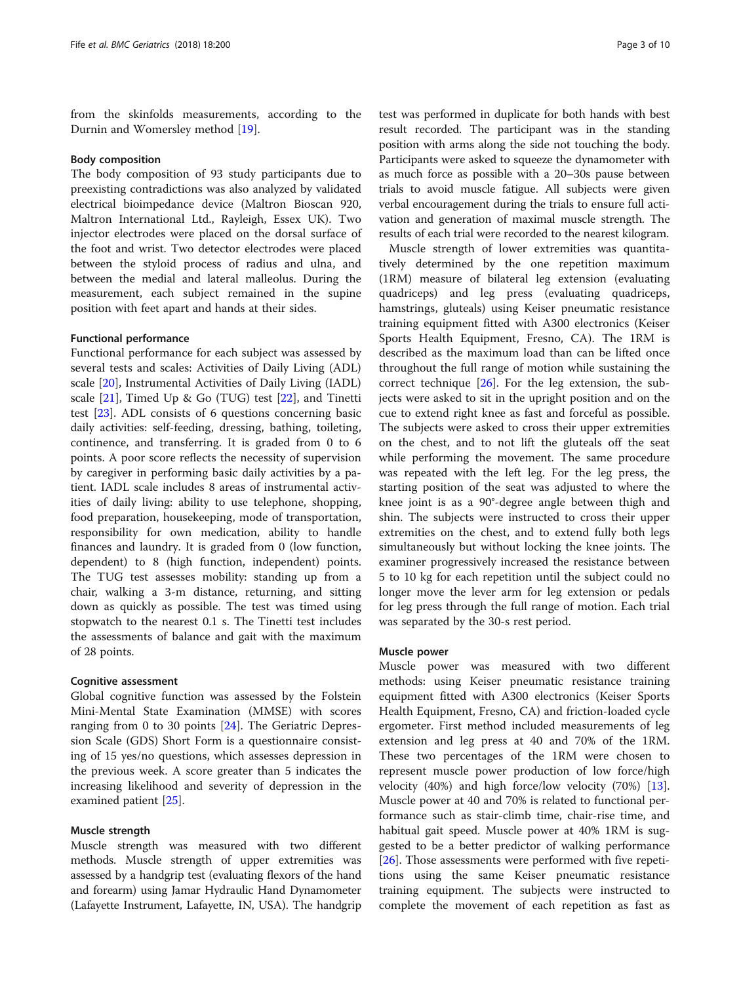from the skinfolds measurements, according to the Durnin and Womersley method [\[19\]](#page-8-0).

# Body composition

The body composition of 93 study participants due to preexisting contradictions was also analyzed by validated electrical bioimpedance device (Maltron Bioscan 920, Maltron International Ltd., Rayleigh, Essex UK). Two injector electrodes were placed on the dorsal surface of the foot and wrist. Two detector electrodes were placed between the styloid process of radius and ulna, and between the medial and lateral malleolus. During the measurement, each subject remained in the supine position with feet apart and hands at their sides.

# Functional performance

Functional performance for each subject was assessed by several tests and scales: Activities of Daily Living (ADL) scale [\[20](#page-8-0)], Instrumental Activities of Daily Living (IADL) scale [[21\]](#page-8-0), Timed Up & Go (TUG) test [[22](#page-8-0)], and Tinetti test [\[23](#page-8-0)]. ADL consists of 6 questions concerning basic daily activities: self-feeding, dressing, bathing, toileting, continence, and transferring. It is graded from 0 to 6 points. A poor score reflects the necessity of supervision by caregiver in performing basic daily activities by a patient. IADL scale includes 8 areas of instrumental activities of daily living: ability to use telephone, shopping, food preparation, housekeeping, mode of transportation, responsibility for own medication, ability to handle finances and laundry. It is graded from 0 (low function, dependent) to 8 (high function, independent) points. The TUG test assesses mobility: standing up from a chair, walking a 3-m distance, returning, and sitting down as quickly as possible. The test was timed using stopwatch to the nearest 0.1 s. The Tinetti test includes the assessments of balance and gait with the maximum of 28 points.

# Cognitive assessment

Global cognitive function was assessed by the Folstein Mini-Mental State Examination (MMSE) with scores ranging from 0 to 30 points [\[24](#page-8-0)]. The Geriatric Depression Scale (GDS) Short Form is a questionnaire consisting of 15 yes/no questions, which assesses depression in the previous week. A score greater than 5 indicates the increasing likelihood and severity of depression in the examined patient [\[25](#page-8-0)].

# Muscle strength

Muscle strength was measured with two different methods. Muscle strength of upper extremities was assessed by a handgrip test (evaluating flexors of the hand and forearm) using Jamar Hydraulic Hand Dynamometer (Lafayette Instrument, Lafayette, IN, USA). The handgrip

test was performed in duplicate for both hands with best result recorded. The participant was in the standing position with arms along the side not touching the body. Participants were asked to squeeze the dynamometer with as much force as possible with a 20–30s pause between trials to avoid muscle fatigue. All subjects were given verbal encouragement during the trials to ensure full activation and generation of maximal muscle strength. The results of each trial were recorded to the nearest kilogram.

Muscle strength of lower extremities was quantitatively determined by the one repetition maximum (1RM) measure of bilateral leg extension (evaluating quadriceps) and leg press (evaluating quadriceps, hamstrings, gluteals) using Keiser pneumatic resistance training equipment fitted with A300 electronics (Keiser Sports Health Equipment, Fresno, CA). The 1RM is described as the maximum load than can be lifted once throughout the full range of motion while sustaining the correct technique  $[26]$ . For the leg extension, the subjects were asked to sit in the upright position and on the cue to extend right knee as fast and forceful as possible. The subjects were asked to cross their upper extremities on the chest, and to not lift the gluteals off the seat while performing the movement. The same procedure was repeated with the left leg. For the leg press, the starting position of the seat was adjusted to where the knee joint is as a 90°-degree angle between thigh and shin. The subjects were instructed to cross their upper extremities on the chest, and to extend fully both legs simultaneously but without locking the knee joints. The examiner progressively increased the resistance between 5 to 10 kg for each repetition until the subject could no longer move the lever arm for leg extension or pedals for leg press through the full range of motion. Each trial was separated by the 30-s rest period.

# Muscle power

Muscle power was measured with two different methods: using Keiser pneumatic resistance training equipment fitted with A300 electronics (Keiser Sports Health Equipment, Fresno, CA) and friction-loaded cycle ergometer. First method included measurements of leg extension and leg press at 40 and 70% of the 1RM. These two percentages of the 1RM were chosen to represent muscle power production of low force/high velocity (40%) and high force/low velocity (70%) [\[13](#page-8-0)]. Muscle power at 40 and 70% is related to functional performance such as stair-climb time, chair-rise time, and habitual gait speed. Muscle power at 40% 1RM is suggested to be a better predictor of walking performance [[26\]](#page-8-0). Those assessments were performed with five repetitions using the same Keiser pneumatic resistance training equipment. The subjects were instructed to complete the movement of each repetition as fast as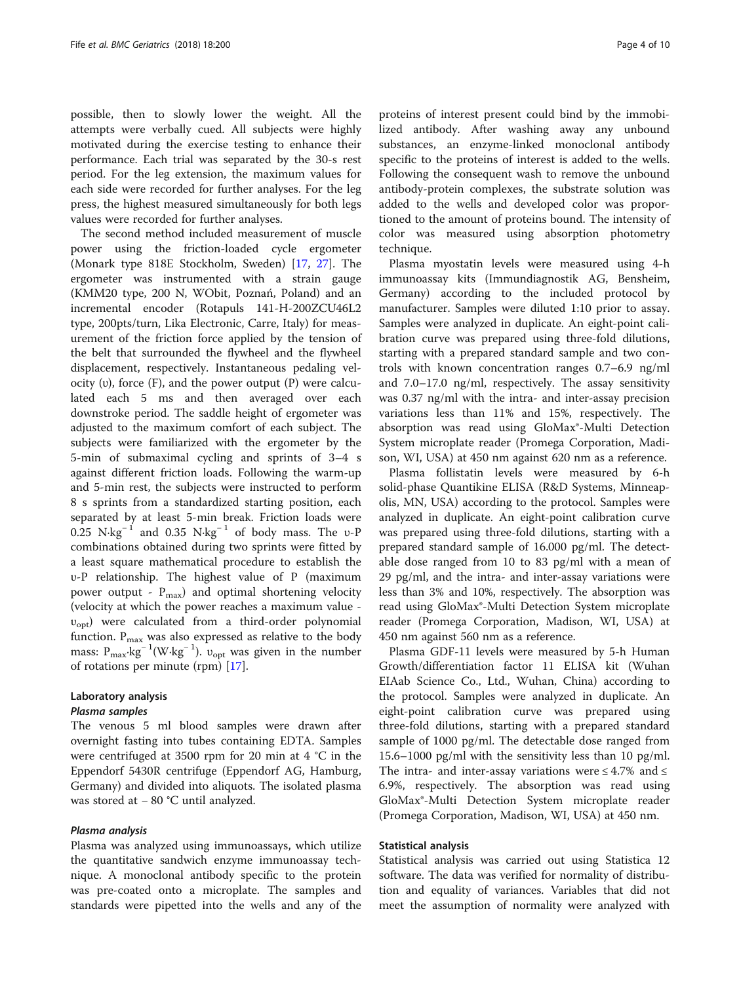possible, then to slowly lower the weight. All the attempts were verbally cued. All subjects were highly motivated during the exercise testing to enhance their performance. Each trial was separated by the 30-s rest period. For the leg extension, the maximum values for each side were recorded for further analyses. For the leg press, the highest measured simultaneously for both legs values were recorded for further analyses.

The second method included measurement of muscle power using the friction-loaded cycle ergometer (Monark type 818E Stockholm, Sweden) [[17](#page-8-0), [27](#page-8-0)]. The ergometer was instrumented with a strain gauge (KMM20 type, 200 N, WObit, Poznań, Poland) and an incremental encoder (Rotapuls 141-H-200ZCU46L2 type, 200pts/turn, Lika Electronic, Carre, Italy) for measurement of the friction force applied by the tension of the belt that surrounded the flywheel and the flywheel displacement, respectively. Instantaneous pedaling velocity (υ), force  $(F)$ , and the power output  $(P)$  were calculated each 5 ms and then averaged over each downstroke period. The saddle height of ergometer was adjusted to the maximum comfort of each subject. The subjects were familiarized with the ergometer by the 5-min of submaximal cycling and sprints of 3–4 s against different friction loads. Following the warm-up and 5-min rest, the subjects were instructed to perform 8 s sprints from a standardized starting position, each separated by at least 5-min break. Friction loads were 0.25 N·kg<sup>-1</sup> and 0.35 N·kg<sup>-1</sup> of body mass. The υ-P combinations obtained during two sprints were fitted by a least square mathematical procedure to establish the υ-P relationship. The highest value of P (maximum power output -  $P_{max}$ ) and optimal shortening velocity (velocity at which the power reaches a maximum value υopt) were calculated from a third-order polynomial function.  $P_{max}$  was also expressed as relative to the body mass:  $P_{\text{max}}$ ·kg<sup>-1</sup>(W·kg<sup>-1</sup>).  $v_{\text{opt}}$  was given in the number of rotations per minute (rpm) [[17\]](#page-8-0).

# Laboratory analysis

# Plasma samples

The venous 5 ml blood samples were drawn after overnight fasting into tubes containing EDTA. Samples were centrifuged at 3500 rpm for 20 min at 4 °C in the Eppendorf 5430R centrifuge (Eppendorf AG, Hamburg, Germany) and divided into aliquots. The isolated plasma was stored at − 80 °C until analyzed.

# Plasma analysis

Plasma was analyzed using immunoassays, which utilize the quantitative sandwich enzyme immunoassay technique. A monoclonal antibody specific to the protein was pre-coated onto a microplate. The samples and standards were pipetted into the wells and any of the

proteins of interest present could bind by the immobilized antibody. After washing away any unbound substances, an enzyme-linked monoclonal antibody specific to the proteins of interest is added to the wells. Following the consequent wash to remove the unbound antibody-protein complexes, the substrate solution was added to the wells and developed color was proportioned to the amount of proteins bound. The intensity of color was measured using absorption photometry technique.

Plasma myostatin levels were measured using 4-h immunoassay kits (Immundiagnostik AG, Bensheim, Germany) according to the included protocol by manufacturer. Samples were diluted 1:10 prior to assay. Samples were analyzed in duplicate. An eight-point calibration curve was prepared using three-fold dilutions, starting with a prepared standard sample and two controls with known concentration ranges 0.7–6.9 ng/ml and 7.0–17.0 ng/ml, respectively. The assay sensitivity was 0.37 ng/ml with the intra- and inter-assay precision variations less than 11% and 15%, respectively. The absorption was read using GloMax®-Multi Detection System microplate reader (Promega Corporation, Madison, WI, USA) at 450 nm against 620 nm as a reference.

Plasma follistatin levels were measured by 6-h solid-phase Quantikine ELISA (R&D Systems, Minneapolis, MN, USA) according to the protocol. Samples were analyzed in duplicate. An eight-point calibration curve was prepared using three-fold dilutions, starting with a prepared standard sample of 16.000 pg/ml. The detectable dose ranged from 10 to 83 pg/ml with a mean of 29 pg/ml, and the intra- and inter-assay variations were less than 3% and 10%, respectively. The absorption was read using GloMax®-Multi Detection System microplate reader (Promega Corporation, Madison, WI, USA) at 450 nm against 560 nm as a reference.

Plasma GDF-11 levels were measured by 5-h Human Growth/differentiation factor 11 ELISA kit (Wuhan EIAab Science Co., Ltd., Wuhan, China) according to the protocol. Samples were analyzed in duplicate. An eight-point calibration curve was prepared using three-fold dilutions, starting with a prepared standard sample of 1000 pg/ml. The detectable dose ranged from 15.6–1000 pg/ml with the sensitivity less than 10 pg/ml. The intra- and inter-assay variations were  $\leq 4.7\%$  and  $\leq$ 6.9%, respectively. The absorption was read using GloMax®-Multi Detection System microplate reader (Promega Corporation, Madison, WI, USA) at 450 nm.

# Statistical analysis

Statistical analysis was carried out using Statistica 12 software. The data was verified for normality of distribution and equality of variances. Variables that did not meet the assumption of normality were analyzed with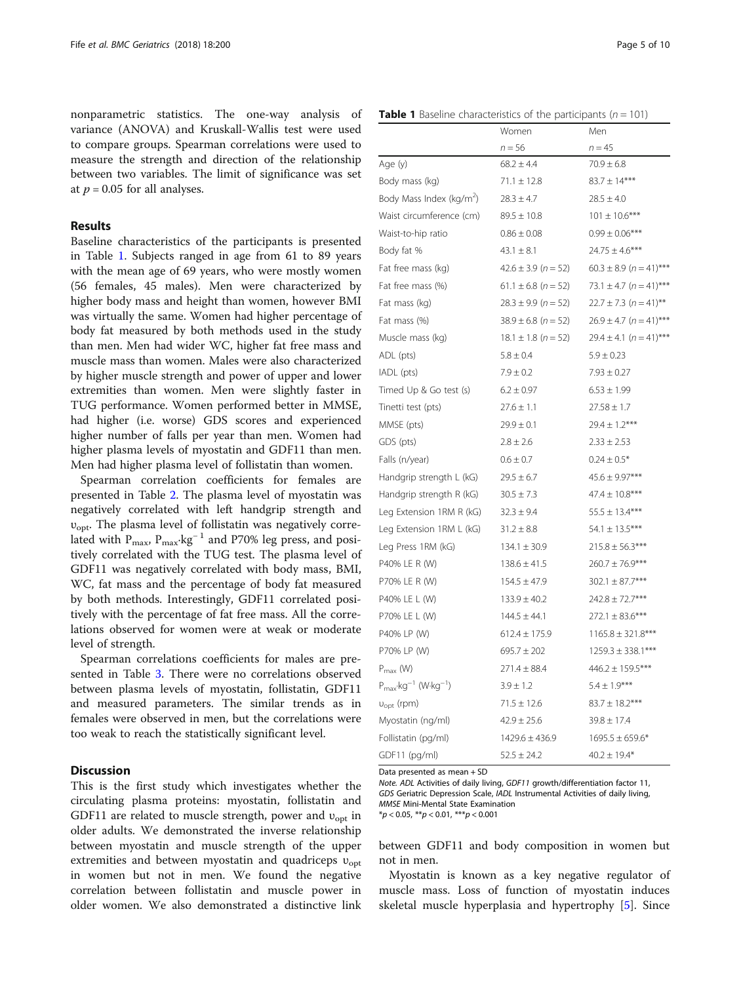nonparametric statistics. The one-way analysis of variance (ANOVA) and Kruskall-Wallis test were used to compare groups. Spearman correlations were used to measure the strength and direction of the relationship between two variables. The limit of significance was set at  $p = 0.05$  for all analyses.

# Results

Baseline characteristics of the participants is presented in Table 1. Subjects ranged in age from 61 to 89 years with the mean age of 69 years, who were mostly women (56 females, 45 males). Men were characterized by higher body mass and height than women, however BMI was virtually the same. Women had higher percentage of body fat measured by both methods used in the study than men. Men had wider WC, higher fat free mass and muscle mass than women. Males were also characterized by higher muscle strength and power of upper and lower extremities than women. Men were slightly faster in TUG performance. Women performed better in MMSE, had higher (i.e. worse) GDS scores and experienced higher number of falls per year than men. Women had higher plasma levels of myostatin and GDF11 than men. Men had higher plasma level of follistatin than women.

Spearman correlation coefficients for females are presented in Table [2.](#page-5-0) The plasma level of myostatin was negatively correlated with left handgrip strength and υopt. The plasma level of follistatin was negatively correlated with  $P_{max}$ ,  $P_{max}$ 'kg<sup>-1</sup> and P70% leg press, and positively correlated with the TUG test. The plasma level of GDF11 was negatively correlated with body mass, BMI, WC, fat mass and the percentage of body fat measured by both methods. Interestingly, GDF11 correlated positively with the percentage of fat free mass. All the correlations observed for women were at weak or moderate level of strength.

Spearman correlations coefficients for males are presented in Table [3.](#page-5-0) There were no correlations observed between plasma levels of myostatin, follistatin, GDF11 and measured parameters. The similar trends as in females were observed in men, but the correlations were too weak to reach the statistically significant level.

# **Discussion**

This is the first study which investigates whether the circulating plasma proteins: myostatin, follistatin and GDF11 are related to muscle strength, power and  $v_{opt}$  in older adults. We demonstrated the inverse relationship between myostatin and muscle strength of the upper extremities and between myostatin and quadriceps  $v_{\text{opt}}$ in women but not in men. We found the negative correlation between follistatin and muscle power in older women. We also demonstrated a distinctive link

**Table 1** Baseline characteristics of the participants ( $n = 101$ )

|                                                          | Women                   | Men                           |  |  |
|----------------------------------------------------------|-------------------------|-------------------------------|--|--|
|                                                          | $n = 56$                | $n = 45$                      |  |  |
| Age (y)                                                  | $68.2 \pm 4.4$          | $70.9 \pm 6.8$                |  |  |
| Body mass (kg)                                           | $71.1 \pm 12.8$         | $83.7 \pm 14***$              |  |  |
| Body Mass Index (kg/m <sup>2</sup> )                     | $28.3 \pm 4.7$          | $28.5 \pm 4.0$                |  |  |
| Waist circumference (cm)                                 | $89.5 \pm 10.8$         | $101 \pm 10.6***$             |  |  |
| Waist-to-hip ratio                                       | $0.86 \pm 0.08$         | $0.99 \pm 0.06***$            |  |  |
| Body fat %                                               | $43.1 \pm 8.1$          | $24.75 \pm 4.6***$            |  |  |
| Fat free mass (kg)                                       | $42.6 \pm 3.9$ (n = 52) | $60.3 \pm 8.9$ $(n = 41)$ *** |  |  |
| Fat free mass (%)                                        | $61.1 \pm 6.8$ (n = 52) | 73.1 ± 4.7 $(n = 41)$ ***     |  |  |
| Fat mass (kg)                                            | $28.3 \pm 9.9$ (n = 52) | $22.7 \pm 7.3$ $(n = 41)$ **  |  |  |
| Fat mass (%)                                             | $38.9 \pm 6.8$ (n = 52) | $26.9 \pm 4.7$ $(n = 41)$ *** |  |  |
| Muscle mass (kg)                                         | $18.1 \pm 1.8$ (n = 52) | $29.4 \pm 4.1$ $(n = 41)$ *** |  |  |
| ADL (pts)                                                | $5.8 \pm 0.4$           | $5.9 \pm 0.23$                |  |  |
| IADL (pts)                                               | $7.9 \pm 0.2$           | $7.93 \pm 0.27$               |  |  |
| Timed Up & Go test (s)                                   | $6.2 \pm 0.97$          | $6.53 \pm 1.99$               |  |  |
| Tinetti test (pts)                                       | $27.6 \pm 1.1$          | $27.58 \pm 1.7$               |  |  |
| MMSE (pts)                                               | $29.9 \pm 0.1$          | $29.4 \pm 1.2***$             |  |  |
| GDS (pts)                                                | $2.8 \pm 2.6$           | $2.33 \pm 2.53$               |  |  |
| Falls (n/year)                                           | $0.6 \pm 0.7$           | $0.24 \pm 0.5*$               |  |  |
| Handgrip strength L (kG)                                 | $29.5 \pm 6.7$          | $45.6 \pm 9.97***$            |  |  |
| Handgrip strength R (kG)                                 | $30.5 \pm 7.3$          | $47.4 \pm 10.8***$            |  |  |
| Leg Extension 1RM R (kG)                                 | $32.3 \pm 9.4$          | $55.5 \pm 13.4***$            |  |  |
| Leg Extension 1RM L (kG)                                 | $31.2 \pm 8.8$          | $54.1 \pm 13.5***$            |  |  |
| Leg Press 1RM (kG)                                       | $134.1 \pm 30.9$        | $215.8 \pm 56.3***$           |  |  |
| P40% LE R (W)                                            | $138.6 \pm 41.5$        | $260.7 \pm 76.9***$           |  |  |
| P70% LE R (W)                                            | $154.5 \pm 47.9$        | $302.1 \pm 87.7***$           |  |  |
| P40% LE L (W)                                            | $133.9 \pm 40.2$        | $242.8 \pm 72.7***$           |  |  |
| P70% LE L (W)                                            | $144.5 \pm 44.1$        | $272.1 \pm 83.6***$           |  |  |
| P40% LP (W)                                              | $612.4 \pm 175.9$       | $1165.8 \pm 321.8***$         |  |  |
| P70% LP (W)                                              | $695.7 \pm 202$         | $1259.3 \pm 338.1***$         |  |  |
| $P_{\text{max}}(W)$                                      | $271.4 \pm 88.4$        | $446.2 \pm 159.5***$          |  |  |
| $P_{\text{max}}$ ·kg <sup>-1</sup> (W·kg <sup>-1</sup> ) | $3.9 \pm 1.2$           | $5.4 \pm 1.9***$              |  |  |
| $U_{\text{opt}}$ (rpm)                                   | $71.5 \pm 12.6$         | $83.7 \pm 18.2***$            |  |  |
| Myostatin (ng/ml)                                        | $42.9 \pm 25.6$         | $39.8 \pm 17.4$               |  |  |
| Follistatin (pg/ml)                                      | $1429.6 \pm 436.9$      | $1695.5 \pm 659.6*$           |  |  |
| GDF11 (pg/ml)                                            | $52.5 \pm 24.2$         | $40.2 \pm 19.4*$              |  |  |

Data presented as mean + SD

Note. ADL Activities of daily living, GDF11 growth/differentiation factor 11, GDS Geriatric Depression Scale, IADL Instrumental Activities of daily living, MMSE Mini-Mental State Examination  $**p* < 0.05, ***p* < 0.01, ***p* < 0.001$ 

between GDF11 and body composition in women but not in men.

Myostatin is known as a key negative regulator of muscle mass. Loss of function of myostatin induces skeletal muscle hyperplasia and hypertrophy [[5\]](#page-8-0). Since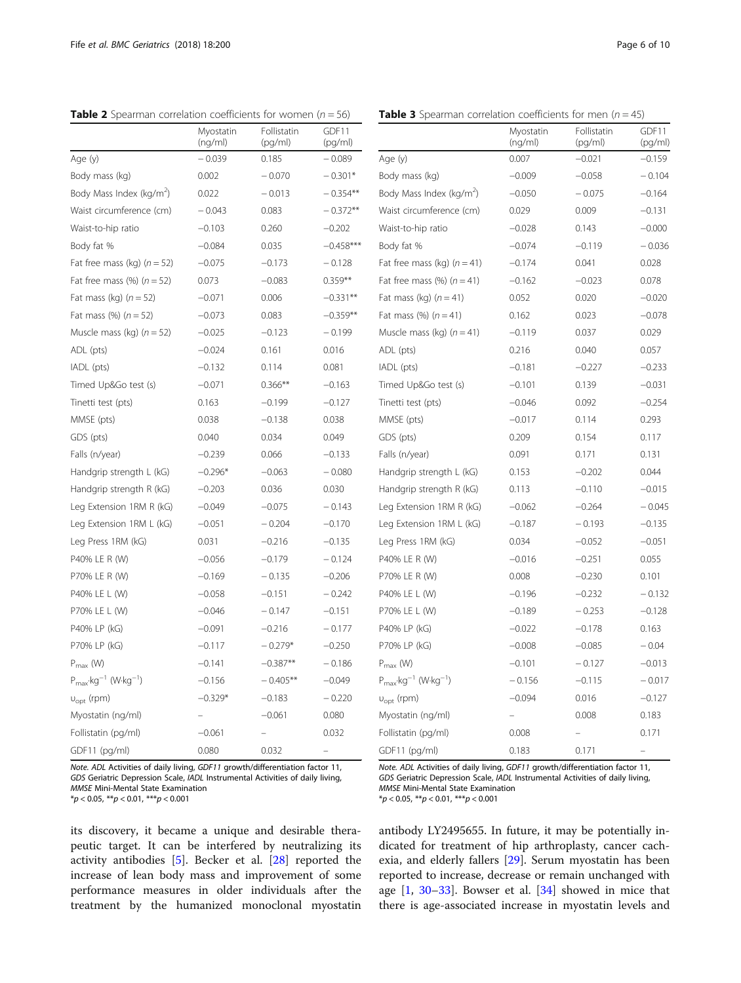<span id="page-5-0"></span>**Table 2** Spearman correlation coefficients for women ( $n = 56$ )

|                                                          | Myostatin<br>(nq/ml) | Follistatin<br>(pq/ml) | GDF11<br>(pq/ml) |                                                   | Myostatin<br>(nq/ml) | Follistatin<br>(pq/ml) | GDF11<br>(pg/ml) |
|----------------------------------------------------------|----------------------|------------------------|------------------|---------------------------------------------------|----------------------|------------------------|------------------|
| Age (y)                                                  | $-0.039$             | 0.185                  | $-0.089$         | Age (y)                                           | 0.007                | $-0.021$               | $-0.159$         |
| Body mass (kg)                                           | 0.002                | $-0.070$               | $-0.301*$        | Body mass (kg)                                    | $-0.009$             | $-0.058$               | $-0.104$         |
| Body Mass Index (kg/m <sup>2</sup> )                     | 0.022                | $-0.013$               | $-0.354**$       | Body Mass Index (kg/m <sup>2</sup> )              | $-0.050$             | $-0.075$               | $-0.164$         |
| Waist circumference (cm)                                 | $-0.043$             | 0.083                  | $-0.372**$       | Waist circumference (cm)                          | 0.029                | 0.009                  | $-0.131$         |
| Waist-to-hip ratio                                       | $-0.103$             | 0.260                  | $-0.202$         | Waist-to-hip ratio                                | $-0.028$             | 0.143                  | $-0.000$         |
| Body fat %                                               | $-0.084$             | 0.035                  | $-0.458***$      | Body fat %                                        | $-0.074$             | $-0.119$               | $-0.036$         |
| Fat free mass (kg) $(n = 52)$                            | $-0.075$             | $-0.173$               | $-0.128$         | Fat free mass (kg) $(n = 41)$                     | $-0.174$             | 0.041                  | 0.028            |
| Fat free mass $(\%) (n = 52)$                            | 0.073                | $-0.083$               | $0.359**$        | Fat free mass $(\%)$ $(n = 41)$                   | $-0.162$             | $-0.023$               | 0.078            |
| Fat mass (kg) $(n = 52)$                                 | $-0.071$             | 0.006                  | $-0.331**$       | Fat mass (kg) $(n = 41)$                          | 0.052                | 0.020                  | $-0.020$         |
| Fat mass $(\%) (n = 52)$                                 | $-0.073$             | 0.083                  | $-0.359**$       | Fat mass (%) $(n = 41)$                           | 0.162                | 0.023                  | $-0.078$         |
| Muscle mass (kg) $(n = 52)$                              | $-0.025$             | $-0.123$               | $-0.199$         | Muscle mass (kg) $(n = 41)$                       | $-0.119$             | 0.037                  | 0.029            |
| ADL (pts)                                                | $-0.024$             | 0.161                  | 0.016            | ADL (pts)                                         | 0.216                | 0.040                  | 0.057            |
| IADL (pts)                                               | $-0.132$             | 0.114                  | 0.081            | IADL (pts)                                        | $-0.181$             | $-0.227$               | $-0.233$         |
| Timed Up&Go test (s)                                     | $-0.071$             | $0.366**$              | $-0.163$         | Timed Up&Go test (s)                              | $-0.101$             | 0.139                  | $-0.031$         |
| Tinetti test (pts)                                       | 0.163                | $-0.199$               | $-0.127$         | Tinetti test (pts)                                | $-0.046$             | 0.092                  | $-0.254$         |
| MMSE (pts)                                               | 0.038                | $-0.138$               | 0.038            | MMSE (pts)                                        | $-0.017$             | 0.114                  | 0.293            |
| GDS (pts)                                                | 0.040                | 0.034                  | 0.049            | GDS (pts)                                         | 0.209                | 0.154                  | 0.117            |
| Falls (n/year)                                           | $-0.239$             | 0.066                  | $-0.133$         | Falls (n/year)                                    | 0.091                | 0.171                  | 0.131            |
| Handgrip strength L (kG)                                 | $-0.296*$            | $-0.063$               | $-0.080$         | Handgrip strength L (kG)                          | 0.153                | $-0.202$               | 0.044            |
| Handgrip strength R (kG)                                 | $-0.203$             | 0.036                  | 0.030            | Handgrip strength R (kG)                          | 0.113                | $-0.110$               | $-0.015$         |
| Leg Extension 1RM R (kG)                                 | $-0.049$             | $-0.075$               | $-0.143$         | Leg Extension 1RM R (kG)                          | $-0.062$             | $-0.264$               | $-0.045$         |
| Leg Extension 1RM L (kG)                                 | $-0.051$             | $-0.204$               | $-0.170$         | Leg Extension 1RM L (kG)                          | $-0.187$             | $-0.193$               | $-0.135$         |
| Leg Press 1RM (kG)                                       | 0.031                | $-0.216$               | $-0.135$         | Leg Press 1RM (kG)                                | 0.034                | $-0.052$               | $-0.051$         |
| P40% LE R (W)                                            | $-0.056$             | $-0.179$               | $-0.124$         | P40% LE R (W)                                     | $-0.016$             | $-0.251$               | 0.055            |
| P70% LE R (W)                                            | $-0.169$             | $-0.135$               | $-0.206$         | P70% LE R (W)                                     | 0.008                | $-0.230$               | 0.101            |
| P40% LE L (W)                                            | $-0.058$             | $-0.151$               | $-0.242$         | P40% LE L (W)                                     | $-0.196$             | $-0.232$               | $-0.132$         |
| P70% LE L (W)                                            | $-0.046$             | $-0.147$               | $-0.151$         | P70% LE L (W)                                     | $-0.189$             | $-0.253$               | $-0.128$         |
| P40% LP (kG)                                             | $-0.091$             | $-0.216$               | $-0.177$         | P40% LP (kG)                                      | $-0.022$             | $-0.178$               | 0.163            |
| P70% LP (kG)                                             | $-0.117$             | $-0.279*$              | $-0.250$         | P70% LP (kG)                                      | $-0.008$             | $-0.085$               | $-0.04$          |
| $P_{\text{max}}$ (W)                                     | $-0.141$             | $-0.387**$             | $-0.186$         | $P_{\text{max}}$ (W)                              | $-0.101$             | $-0.127$               | $-0.013$         |
| $P_{\text{max}}$ ·kg <sup>-1</sup> (W·kg <sup>-1</sup> ) | $-0.156$             | $-0.405**$             | $-0.049$         | $P_{max}$ ·kg <sup>-1</sup> (W·kg <sup>-1</sup> ) | $-0.156$             | $-0.115$               | $-0.017$         |
| U <sub>opt</sub> (rpm)                                   | $-0.329*$            | $-0.183$               | $-0.220$         | $U_{\text{opt}}$ (rpm)                            | $-0.094$             | 0.016                  | $-0.127$         |
| Myostatin (ng/ml)                                        |                      | $-0.061$               | 0.080            | Myostatin (ng/ml)                                 |                      | 0.008                  | 0.183            |
| Follistatin (pg/ml)                                      | $-0.061$             |                        | 0.032            | Follistatin (pg/ml)                               | 0.008                |                        | 0.171            |
| GDF11 (pg/ml)                                            | 0.080                | 0.032                  |                  | GDF11 (pq/ml)                                     | 0.183                | 0.171                  |                  |

Note. ADL Activities of daily living, GDF11 growth/differentiation factor 11, GDS Geriatric Depression Scale, IADL Instrumental Activities of daily living, MMSE Mini-Mental State Examination \*p < 0.05, \*\*p < 0.01, \*\*\*p < 0.001

its discovery, it became a unique and desirable therapeutic target. It can be interfered by neutralizing its activity antibodies [\[5\]](#page-8-0). Becker et al. [\[28](#page-8-0)] reported the increase of lean body mass and improvement of some performance measures in older individuals after the treatment by the humanized monoclonal myostatin Note. ADL Activities of daily living, GDF11 growth/differentiation factor 11, GDS Geriatric Depression Scale, IADL Instrumental Activities of daily living, MMSE Mini-Mental State Examination  $*p < 0.05$ ,  $**p < 0.01$ ,  $***p < 0.001$ 

**Table 3** Spearman correlation coefficients for men ( $n = 45$ )

antibody LY2495655. In future, it may be potentially indicated for treatment of hip arthroplasty, cancer cachexia, and elderly fallers [\[29](#page-8-0)]. Serum myostatin has been reported to increase, decrease or remain unchanged with age  $[1, 30-33]$  $[1, 30-33]$  $[1, 30-33]$  $[1, 30-33]$  $[1, 30-33]$  $[1, 30-33]$  $[1, 30-33]$ . Bowser et al.  $[34]$  $[34]$  showed in mice that there is age-associated increase in myostatin levels and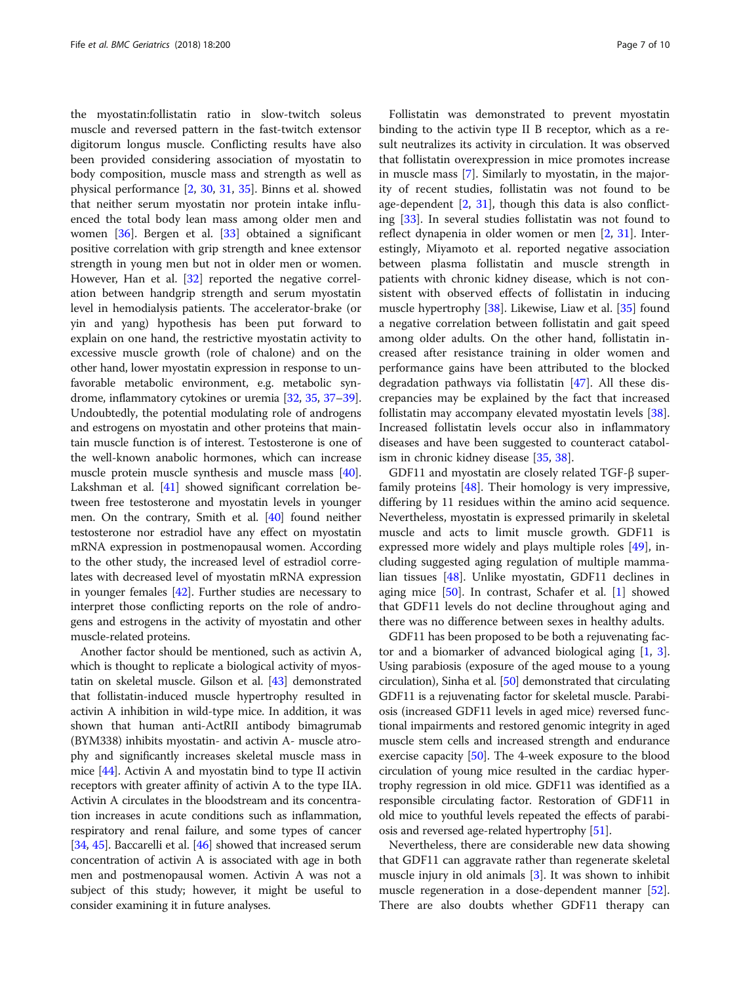the myostatin:follistatin ratio in slow-twitch soleus muscle and reversed pattern in the fast-twitch extensor digitorum longus muscle. Conflicting results have also been provided considering association of myostatin to body composition, muscle mass and strength as well as physical performance [[2,](#page-8-0) [30](#page-9-0), [31](#page-9-0), [35\]](#page-9-0). Binns et al. showed that neither serum myostatin nor protein intake influenced the total body lean mass among older men and women [\[36\]](#page-9-0). Bergen et al. [[33\]](#page-9-0) obtained a significant positive correlation with grip strength and knee extensor strength in young men but not in older men or women. However, Han et al. [\[32](#page-9-0)] reported the negative correlation between handgrip strength and serum myostatin level in hemodialysis patients. The accelerator-brake (or yin and yang) hypothesis has been put forward to explain on one hand, the restrictive myostatin activity to excessive muscle growth (role of chalone) and on the other hand, lower myostatin expression in response to unfavorable metabolic environment, e.g. metabolic syndrome, inflammatory cytokines or uremia [[32](#page-9-0), [35](#page-9-0), [37](#page-9-0)–[39](#page-9-0)]. Undoubtedly, the potential modulating role of androgens and estrogens on myostatin and other proteins that maintain muscle function is of interest. Testosterone is one of the well-known anabolic hormones, which can increase muscle protein muscle synthesis and muscle mass [[40](#page-9-0)]. Lakshman et al. [[41](#page-9-0)] showed significant correlation between free testosterone and myostatin levels in younger men. On the contrary, Smith et al. [[40\]](#page-9-0) found neither testosterone nor estradiol have any effect on myostatin mRNA expression in postmenopausal women. According to the other study, the increased level of estradiol correlates with decreased level of myostatin mRNA expression in younger females [\[42\]](#page-9-0). Further studies are necessary to interpret those conflicting reports on the role of androgens and estrogens in the activity of myostatin and other muscle-related proteins.

Another factor should be mentioned, such as activin A, which is thought to replicate a biological activity of myostatin on skeletal muscle. Gilson et al. [[43](#page-9-0)] demonstrated that follistatin-induced muscle hypertrophy resulted in activin A inhibition in wild-type mice. In addition, it was shown that human anti-ActRII antibody bimagrumab (BYM338) inhibits myostatin- and activin A- muscle atrophy and significantly increases skeletal muscle mass in mice [\[44\]](#page-9-0). Activin A and myostatin bind to type II activin receptors with greater affinity of activin A to the type IIA. Activin A circulates in the bloodstream and its concentration increases in acute conditions such as inflammation, respiratory and renal failure, and some types of cancer [[34](#page-9-0), [45\]](#page-9-0). Baccarelli et al. [\[46\]](#page-9-0) showed that increased serum concentration of activin A is associated with age in both men and postmenopausal women. Activin A was not a subject of this study; however, it might be useful to consider examining it in future analyses.

Follistatin was demonstrated to prevent myostatin binding to the activin type II B receptor, which as a result neutralizes its activity in circulation. It was observed that follistatin overexpression in mice promotes increase in muscle mass [\[7](#page-8-0)]. Similarly to myostatin, in the majority of recent studies, follistatin was not found to be age-dependent [[2,](#page-8-0) [31\]](#page-9-0), though this data is also conflicting [[33\]](#page-9-0). In several studies follistatin was not found to reflect dynapenia in older women or men [[2,](#page-8-0) [31](#page-9-0)]. Interestingly, Miyamoto et al. reported negative association between plasma follistatin and muscle strength in patients with chronic kidney disease, which is not consistent with observed effects of follistatin in inducing muscle hypertrophy [\[38](#page-9-0)]. Likewise, Liaw et al. [[35](#page-9-0)] found a negative correlation between follistatin and gait speed among older adults. On the other hand, follistatin increased after resistance training in older women and performance gains have been attributed to the blocked degradation pathways via follistatin [\[47](#page-9-0)]. All these discrepancies may be explained by the fact that increased follistatin may accompany elevated myostatin levels [\[38](#page-9-0)]. Increased follistatin levels occur also in inflammatory diseases and have been suggested to counteract catabolism in chronic kidney disease [\[35](#page-9-0), [38](#page-9-0)].

GDF11 and myostatin are closely related TGF-β superfamily proteins [[48](#page-9-0)]. Their homology is very impressive, differing by 11 residues within the amino acid sequence. Nevertheless, myostatin is expressed primarily in skeletal muscle and acts to limit muscle growth. GDF11 is expressed more widely and plays multiple roles [\[49](#page-9-0)], including suggested aging regulation of multiple mammalian tissues [\[48](#page-9-0)]. Unlike myostatin, GDF11 declines in aging mice  $[50]$  $[50]$ . In contrast, Schafer et al.  $[1]$  $[1]$  showed that GDF11 levels do not decline throughout aging and there was no difference between sexes in healthy adults.

GDF11 has been proposed to be both a rejuvenating factor and a biomarker of advanced biological aging [\[1](#page-8-0), [3](#page-8-0)]. Using parabiosis (exposure of the aged mouse to a young circulation), Sinha et al. [[50](#page-9-0)] demonstrated that circulating GDF11 is a rejuvenating factor for skeletal muscle. Parabiosis (increased GDF11 levels in aged mice) reversed functional impairments and restored genomic integrity in aged muscle stem cells and increased strength and endurance exercise capacity [[50](#page-9-0)]. The 4-week exposure to the blood circulation of young mice resulted in the cardiac hypertrophy regression in old mice. GDF11 was identified as a responsible circulating factor. Restoration of GDF11 in old mice to youthful levels repeated the effects of parabiosis and reversed age-related hypertrophy [[51\]](#page-9-0).

Nevertheless, there are considerable new data showing that GDF11 can aggravate rather than regenerate skeletal muscle injury in old animals [[3\]](#page-8-0). It was shown to inhibit muscle regeneration in a dose-dependent manner [\[52](#page-9-0)]. There are also doubts whether GDF11 therapy can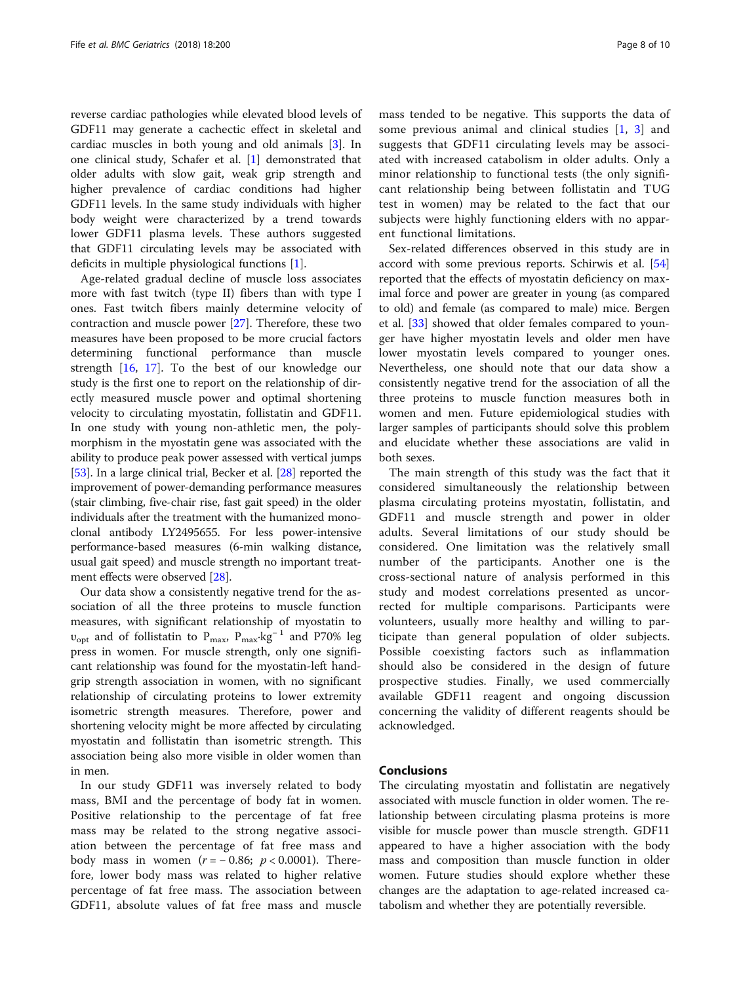reverse cardiac pathologies while elevated blood levels of GDF11 may generate a cachectic effect in skeletal and cardiac muscles in both young and old animals [\[3](#page-8-0)]. In one clinical study, Schafer et al. [\[1](#page-8-0)] demonstrated that older adults with slow gait, weak grip strength and higher prevalence of cardiac conditions had higher GDF11 levels. In the same study individuals with higher body weight were characterized by a trend towards lower GDF11 plasma levels. These authors suggested that GDF11 circulating levels may be associated with deficits in multiple physiological functions [\[1](#page-8-0)].

Age-related gradual decline of muscle loss associates more with fast twitch (type II) fibers than with type I ones. Fast twitch fibers mainly determine velocity of contraction and muscle power [[27\]](#page-8-0). Therefore, these two measures have been proposed to be more crucial factors determining functional performance than muscle strength [[16,](#page-8-0) [17](#page-8-0)]. To the best of our knowledge our study is the first one to report on the relationship of directly measured muscle power and optimal shortening velocity to circulating myostatin, follistatin and GDF11. In one study with young non-athletic men, the polymorphism in the myostatin gene was associated with the ability to produce peak power assessed with vertical jumps [[53](#page-9-0)]. In a large clinical trial, Becker et al. [\[28\]](#page-8-0) reported the improvement of power-demanding performance measures (stair climbing, five-chair rise, fast gait speed) in the older individuals after the treatment with the humanized monoclonal antibody LY2495655. For less power-intensive performance-based measures (6-min walking distance, usual gait speed) and muscle strength no important treatment effects were observed [\[28](#page-8-0)].

Our data show a consistently negative trend for the association of all the three proteins to muscle function measures, with significant relationship of myostatin to υ<sub>opt</sub> and of follistatin to P<sub>max</sub>, P<sub>max</sub>⋅kg<sup>-1</sup> and P70% leg press in women. For muscle strength, only one significant relationship was found for the myostatin-left handgrip strength association in women, with no significant relationship of circulating proteins to lower extremity isometric strength measures. Therefore, power and shortening velocity might be more affected by circulating myostatin and follistatin than isometric strength. This association being also more visible in older women than in men.

In our study GDF11 was inversely related to body mass, BMI and the percentage of body fat in women. Positive relationship to the percentage of fat free mass may be related to the strong negative association between the percentage of fat free mass and body mass in women ( $r = -0.86$ ;  $p < 0.0001$ ). Therefore, lower body mass was related to higher relative percentage of fat free mass. The association between GDF11, absolute values of fat free mass and muscle

mass tended to be negative. This supports the data of some previous animal and clinical studies [[1,](#page-8-0) [3\]](#page-8-0) and suggests that GDF11 circulating levels may be associated with increased catabolism in older adults. Only a minor relationship to functional tests (the only significant relationship being between follistatin and TUG test in women) may be related to the fact that our subjects were highly functioning elders with no apparent functional limitations.

Sex-related differences observed in this study are in accord with some previous reports. Schirwis et al. [[54](#page-9-0)] reported that the effects of myostatin deficiency on maximal force and power are greater in young (as compared to old) and female (as compared to male) mice. Bergen et al. [\[33](#page-9-0)] showed that older females compared to younger have higher myostatin levels and older men have lower myostatin levels compared to younger ones. Nevertheless, one should note that our data show a consistently negative trend for the association of all the three proteins to muscle function measures both in women and men. Future epidemiological studies with larger samples of participants should solve this problem and elucidate whether these associations are valid in both sexes.

The main strength of this study was the fact that it considered simultaneously the relationship between plasma circulating proteins myostatin, follistatin, and GDF11 and muscle strength and power in older adults. Several limitations of our study should be considered. One limitation was the relatively small number of the participants. Another one is the cross-sectional nature of analysis performed in this study and modest correlations presented as uncorrected for multiple comparisons. Participants were volunteers, usually more healthy and willing to participate than general population of older subjects. Possible coexisting factors such as inflammation should also be considered in the design of future prospective studies. Finally, we used commercially available GDF11 reagent and ongoing discussion concerning the validity of different reagents should be acknowledged.

# Conclusions

The circulating myostatin and follistatin are negatively associated with muscle function in older women. The relationship between circulating plasma proteins is more visible for muscle power than muscle strength. GDF11 appeared to have a higher association with the body mass and composition than muscle function in older women. Future studies should explore whether these changes are the adaptation to age-related increased catabolism and whether they are potentially reversible.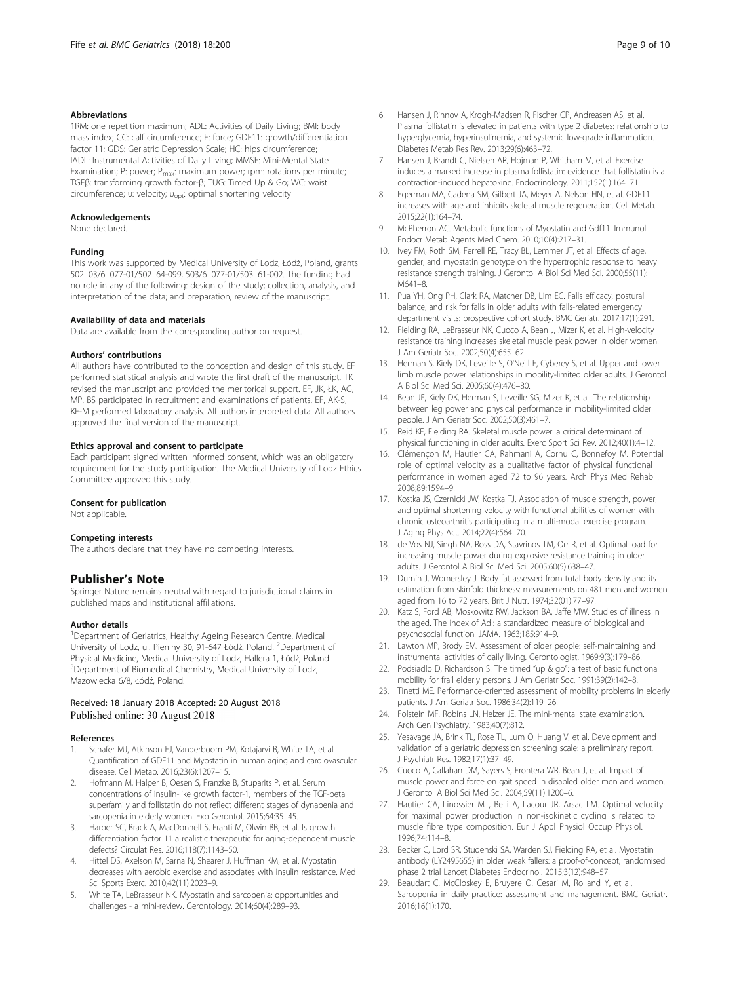# <span id="page-8-0"></span>Abbreviations

1RM: one repetition maximum; ADL: Activities of Daily Living; BMI: body mass index; CC: calf circumference; F: force; GDF11: growth/differentiation factor 11; GDS: Geriatric Depression Scale; HC: hips circumference; IADL: Instrumental Activities of Daily Living; MMSE: Mini-Mental State Examination; P: power;  $P_{\text{max}}$ : maximum power; rpm: rotations per minute; TGFβ: transforming growth factor-β; TUG: Timed Up & Go; WC: waist circumference; υ: velocity; υ<sub>opt</sub>: optimal shortening velocity

# Acknowledgements

None declared.

# Funding

This work was supported by Medical University of Lodz, Łódź, Poland, grants 502–03/6–077-01/502–64-099, 503/6–077-01/503–61-002. The funding had no role in any of the following: design of the study; collection, analysis, and interpretation of the data; and preparation, review of the manuscript.

# Availability of data and materials

Data are available from the corresponding author on request.

## Authors' contributions

All authors have contributed to the conception and design of this study. EF performed statistical analysis and wrote the first draft of the manuscript. TK revised the manuscript and provided the meritorical support. EF, JK, ŁK, AG, MP, BS participated in recruitment and examinations of patients. EF, AK-S, KF-M performed laboratory analysis. All authors interpreted data. All authors approved the final version of the manuscript.

# Ethics approval and consent to participate

Each participant signed written informed consent, which was an obligatory requirement for the study participation. The Medical University of Lodz Ethics Committee approved this study.

### Consent for publication

Not applicable.

#### Competing interests

The authors declare that they have no competing interests.

# Publisher's Note

Springer Nature remains neutral with regard to jurisdictional claims in published maps and institutional affiliations.

### Author details

<sup>1</sup>Department of Geriatrics, Healthy Ageing Research Centre, Medical University of Lodz, ul. Pieniny 30, 91-647 Łódź, Poland. <sup>2</sup>Department of Physical Medicine, Medical University of Lodz, Hallera 1, <sup>Ł</sup>ódź, Poland. <sup>3</sup> <sup>3</sup>Department of Biomedical Chemistry, Medical University of Lodz, Mazowiecka 6/8, Łódź, Poland.

# Received: 18 January 2018 Accepted: 20 August 2018 Published online: 30 August 2018

### References

- 1. Schafer MJ, Atkinson EJ, Vanderboom PM, Kotajarvi B, White TA, et al. Quantification of GDF11 and Myostatin in human aging and cardiovascular disease. Cell Metab. 2016;23(6):1207–15.
- 2. Hofmann M, Halper B, Oesen S, Franzke B, Stuparits P, et al. Serum concentrations of insulin-like growth factor-1, members of the TGF-beta superfamily and follistatin do not reflect different stages of dynapenia and sarcopenia in elderly women. Exp Gerontol. 2015;64:35–45.
- 3. Harper SC, Brack A, MacDonnell S, Franti M, Olwin BB, et al. Is growth differentiation factor 11 a realistic therapeutic for aging-dependent muscle defects? Circulat Res. 2016;118(7):1143–50.
- 4. Hittel DS, Axelson M, Sarna N, Shearer J, Huffman KM, et al. Myostatin decreases with aerobic exercise and associates with insulin resistance. Med Sci Sports Exerc. 2010;42(11):2023–9.
- 5. White TA, LeBrasseur NK. Myostatin and sarcopenia: opportunities and challenges - a mini-review. Gerontology. 2014;60(4):289–93.
- 6. Hansen J, Rinnov A, Krogh-Madsen R, Fischer CP, Andreasen AS, et al. Plasma follistatin is elevated in patients with type 2 diabetes: relationship to hyperglycemia, hyperinsulinemia, and systemic low-grade inflammation. Diabetes Metab Res Rev. 2013;29(6):463–72.
- 7. Hansen J, Brandt C, Nielsen AR, Hojman P, Whitham M, et al. Exercise induces a marked increase in plasma follistatin: evidence that follistatin is a contraction-induced hepatokine. Endocrinology. 2011;152(1):164–71.
- 8. Egerman MA, Cadena SM, Gilbert JA, Meyer A, Nelson HN, et al. GDF11 increases with age and inhibits skeletal muscle regeneration. Cell Metab. 2015;22(1):164–74.
- 9. McPherron AC. Metabolic functions of Myostatin and Gdf11. Immunol Endocr Metab Agents Med Chem. 2010;10(4):217–31.
- 10. Ivey FM, Roth SM, Ferrell RE, Tracy BL, Lemmer JT, et al. Effects of age, gender, and myostatin genotype on the hypertrophic response to heavy resistance strength training. J Gerontol A Biol Sci Med Sci. 2000;55(11): M641-8
- 11. Pua YH, Ong PH, Clark RA, Matcher DB, Lim EC. Falls efficacy, postural balance, and risk for falls in older adults with falls-related emergency department visits: prospective cohort study. BMC Geriatr. 2017;17(1):291.
- 12. Fielding RA, LeBrasseur NK, Cuoco A, Bean J, Mizer K, et al. High-velocity resistance training increases skeletal muscle peak power in older women. J Am Geriatr Soc. 2002;50(4):655–62.
- 13. Herman S, Kiely DK, Leveille S, O'Neill E, Cyberey S, et al. Upper and lower limb muscle power relationships in mobility-limited older adults. J Gerontol A Biol Sci Med Sci. 2005;60(4):476–80.
- 14. Bean JF, Kiely DK, Herman S, Leveille SG, Mizer K, et al. The relationship between leg power and physical performance in mobility-limited older people. J Am Geriatr Soc. 2002;50(3):461–7.
- 15. Reid KF, Fielding RA. Skeletal muscle power: a critical determinant of physical functioning in older adults. Exerc Sport Sci Rev. 2012;40(1):4–12.
- 16. Clémençon M, Hautier CA, Rahmani A, Cornu C, Bonnefoy M. Potential role of optimal velocity as a qualitative factor of physical functional performance in women aged 72 to 96 years. Arch Phys Med Rehabil. 2008;89:1594–9.
- 17. Kostka JS, Czernicki JW, Kostka TJ. Association of muscle strength, power, and optimal shortening velocity with functional abilities of women with chronic osteoarthritis participating in a multi-modal exercise program. J Aging Phys Act. 2014;22(4):564–70.
- 18. de Vos NJ, Singh NA, Ross DA, Stavrinos TM, Orr R, et al. Optimal load for increasing muscle power during explosive resistance training in older adults. J Gerontol A Biol Sci Med Sci. 2005;60(5):638–47.
- 19. Durnin J, Womersley J. Body fat assessed from total body density and its estimation from skinfold thickness: measurements on 481 men and women aged from 16 to 72 years. Brit J Nutr. 1974;32(01):77–97.
- 20. Katz S, Ford AB, Moskowitz RW, Jackson BA, Jaffe MW. Studies of illness in the aged. The index of Adl: a standardized measure of biological and psychosocial function. JAMA. 1963;185:914–9.
- 21. Lawton MP, Brody EM. Assessment of older people: self-maintaining and instrumental activities of daily living. Gerontologist. 1969;9(3):179–86.
- 22. Podsiadlo D, Richardson S. The timed "up & go": a test of basic functional mobility for frail elderly persons. J Am Geriatr Soc. 1991;39(2):142–8.
- 23. Tinetti ME. Performance-oriented assessment of mobility problems in elderly patients. J Am Geriatr Soc. 1986;34(2):119–26.
- 24. Folstein MF, Robins LN, Helzer JE. The mini-mental state examination. Arch Gen Psychiatry. 1983;40(7):812.
- 25. Yesavage JA, Brink TL, Rose TL, Lum O, Huang V, et al. Development and validation of a geriatric depression screening scale: a preliminary report. J Psychiatr Res. 1982;17(1):37–49.
- 26. Cuoco A, Callahan DM, Sayers S, Frontera WR, Bean J, et al. Impact of muscle power and force on gait speed in disabled older men and women. J Gerontol A Biol Sci Med Sci. 2004;59(11):1200–6.
- 27. Hautier CA, Linossier MT, Belli A, Lacour JR, Arsac LM. Optimal velocity for maximal power production in non-isokinetic cycling is related to muscle fibre type composition. Eur J Appl Physiol Occup Physiol. 1996;74:114–8.
- 28. Becker C, Lord SR, Studenski SA, Warden SJ, Fielding RA, et al. Myostatin antibody (LY2495655) in older weak fallers: a proof-of-concept, randomised. phase 2 trial Lancet Diabetes Endocrinol. 2015;3(12):948–57.
- 29. Beaudart C, McCloskey E, Bruyere O, Cesari M, Rolland Y, et al. Sarcopenia in daily practice: assessment and management. BMC Geriatr. 2016;16(1):170.